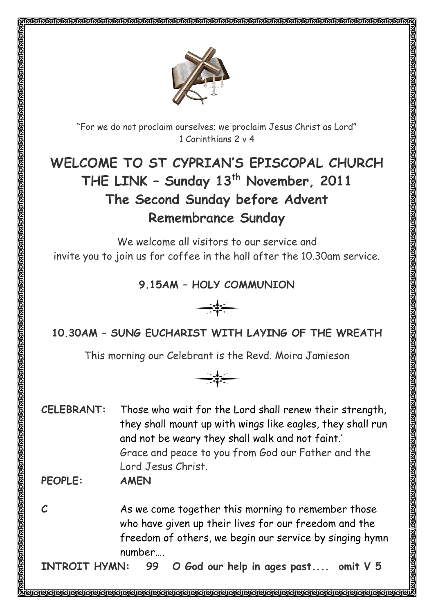

"For we do not proclaim ourselves; we proclaim Jesus Christ as Lord" 1 Corinthians 2 v 4

# **WELCOME TO ST CYPRIAN'S EPISCOPAL CHURCH THE LINK – Sunday 13th November, 2011 The Second Sunday before Advent Remembrance Sunday**

We welcome all visitors to our service and invite you to join us for coffee in the hall after the 10.30am service.

#### **9.15AM – HOLY COMMUNION**



# **10.30AM – SUNG EUCHARIST WITH LAYING OF THE WREATH**

This morning our Celebrant is the Revd. Moira Jamieson

$$
\longrightarrow \leftarrow
$$

**CELEBRANT:** Those who wait for the Lord shall renew their strength, they shall mount up with wings like eagles, they shall run and not be weary they shall walk and not faint.' Grace and peace to you from God our Father and the Lord Jesus Christ.

**PEOPLE: AMEN**

**C** As we come together this morning to remember those who have given up their lives for our freedom and the freedom of others, we begin our service by singing hymn number….

**INTROIT HYMN: 99 O God our help in ages past.... omit V 5**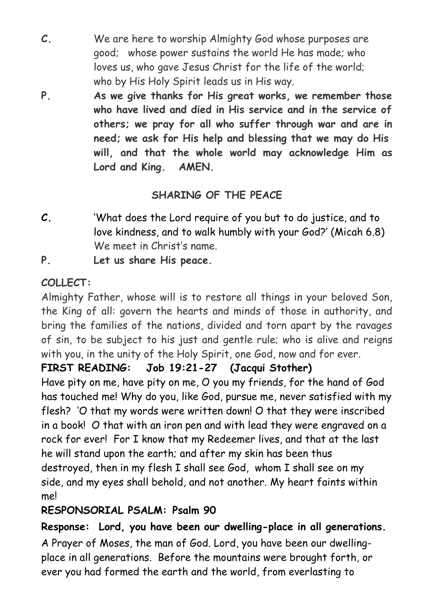- **C.** We are here to worship Almighty God whose purposes are good; whose power sustains the world He has made; who loves us, who gave Jesus Christ for the life of the world; who by His Holy Spirit leads us in His way.
- **P. As we give thanks for His great works, we remember those who have lived and died in His service and in the service of others; we pray for all who suffer through war and are in need; we ask for His help and blessing that we may do His will, and that the whole world may acknowledge Him as Lord and King. AMEN.**

# **SHARING OF THE PEACE**

- **C.** 'What does the Lord require of you but to do justice, and to love kindness, and to walk humbly with your God?' (Micah 6.8) We meet in Christ's name.
- **P. Let us share His peace.**

# **COLLECT:**

Almighty Father, whose will is to restore all things in your beloved Son, the King of all: govern the hearts and minds of those in authority, and bring the families of the nations, divided and torn apart by the ravages of sin, to be subject to his just and gentle rule; who is alive and reigns with you, in the unity of the Holy Spirit, one God, now and for ever.

## **FIRST READING: Job 19:21-27 (Jacqui Stother)**

Have pity on me, have pity on me, O you my friends, for the hand of God has touched me! Why do you, like God, pursue me, never satisfied with my flesh? 'O that my words were written down! O that they were inscribed in a book! O that with an iron pen and with lead they were engraved on a rock for ever! For I know that my Redeemer lives, and that at the last he will stand upon the earth; and after my skin has been thus destroyed, then in my flesh I shall see God, whom I shall see on my side, and my eyes shall behold, and not another. My heart faints within me!

## **RESPONSORIAL PSALM: Psalm 90**

**Response: Lord, you have been our dwelling-place in all generations.**  A Prayer of Moses, the man of God. Lord, you have been our dwellingplace in all generations. Before the mountains were brought forth, or ever you had formed the earth and the world, from everlasting to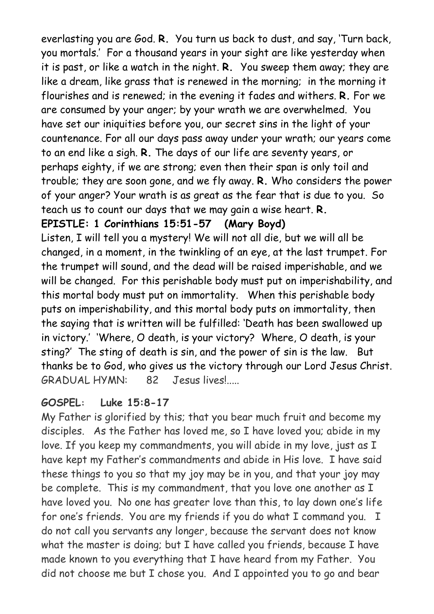everlasting you are God. **R.** You turn us back to dust, and say, 'Turn back, you mortals.' For a thousand years in your sight are like yesterday when it is past, or like a watch in the night. **R.** You sweep them away; they are like a dream, like grass that is renewed in the morning; in the morning it flourishes and is renewed; in the evening it fades and withers. **R.** For we are consumed by your anger; by your wrath we are overwhelmed. You have set our iniquities before you, our secret sins in the light of your countenance. For all our days pass away under your wrath; our years come to an end like a sigh. **R.** The days of our life are seventy years, or perhaps eighty, if we are strong; even then their span is only toil and trouble; they are soon gone, and we fly away. **R.** Who considers the power of your anger? Your wrath is as great as the fear that is due to you. So teach us to count our days that we may gain a wise heart. **R.**

#### **EPISTLE: 1 Corinthians 15:51-57 (Mary Boyd)**

Listen, I will tell you a mystery! We will not all die, but we will all be changed, in a moment, in the twinkling of an eye, at the last trumpet. For the trumpet will sound, and the dead will be raised imperishable, and we will be changed. For this perishable body must put on imperishability, and this mortal body must put on immortality. When this perishable body puts on imperishability, and this mortal body puts on immortality, then the saying that is written will be fulfilled: 'Death has been swallowed up in victory.' 'Where, O death, is your victory? Where, O death, is your sting?' The sting of death is sin, and the power of sin is the law. But thanks be to God, who gives us the victory through our Lord Jesus Christ. GRADUAL HYMN: 82 Jesus lives!.....

#### **GOSPEL: Luke 15:8-17**

My Father is glorified by this; that you bear much fruit and become my disciples. As the Father has loved me, so I have loved you; abide in my love. If you keep my commandments, you will abide in my love, just as I have kept my Father's commandments and abide in His love. I have said these things to you so that my joy may be in you, and that your joy may be complete. This is my commandment, that you love one another as I have loved you. No one has greater love than this, to lay down one's life for one's friends. You are my friends if you do what I command you. I do not call you servants any longer, because the servant does not know what the master is doing; but I have called you friends, because I have made known to you everything that I have heard from my Father. You did not choose me but I chose you. And I appointed you to go and bear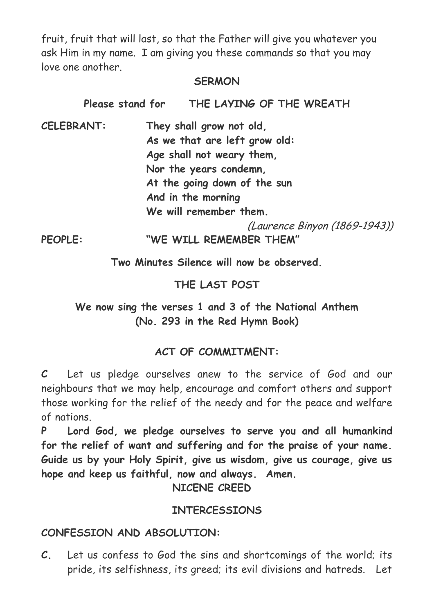fruit, fruit that will last, so that the Father will give you whatever you ask Him in my name. I am giving you these commands so that you may love one another.

#### **SERMON**

| Please stand for  |                              | THE LAYING OF THE WREATH      |  |  |  |  |
|-------------------|------------------------------|-------------------------------|--|--|--|--|
| <b>CELEBRANT:</b> | They shall grow not old,     |                               |  |  |  |  |
|                   |                              | As we that are left grow old: |  |  |  |  |
|                   |                              | Age shall not weary them,     |  |  |  |  |
|                   |                              | Nor the years condemn,        |  |  |  |  |
|                   | At the going down of the sun |                               |  |  |  |  |
|                   | And in the morning           |                               |  |  |  |  |
|                   | We will remember them.       |                               |  |  |  |  |
|                   |                              | (Laurence Binyon (1869-1943)) |  |  |  |  |
| <b>PEOPLE:</b>    |                              | "WE WILL REMEMBER THEM"       |  |  |  |  |
|                   |                              |                               |  |  |  |  |

**Two Minutes Silence will now be observed.**

# **THE LAST POST**

## **We now sing the verses 1 and 3 of the National Anthem (No. 293 in the Red Hymn Book)**

# **ACT OF COMMITMENT:**

**C** Let us pledge ourselves anew to the service of God and our neighbours that we may help, encourage and comfort others and support those working for the relief of the needy and for the peace and welfare of nations.

**P Lord God, we pledge ourselves to serve you and all humankind for the relief of want and suffering and for the praise of your name. Guide us by your Holy Spirit, give us wisdom, give us courage, give us hope and keep us faithful, now and always. Amen.**

**NICENE CREED**

## **INTERCESSIONS**

## **CONFESSION AND ABSOLUTION:**

**C.** Let us confess to God the sins and shortcomings of the world; its pride, its selfishness, its greed; its evil divisions and hatreds. Let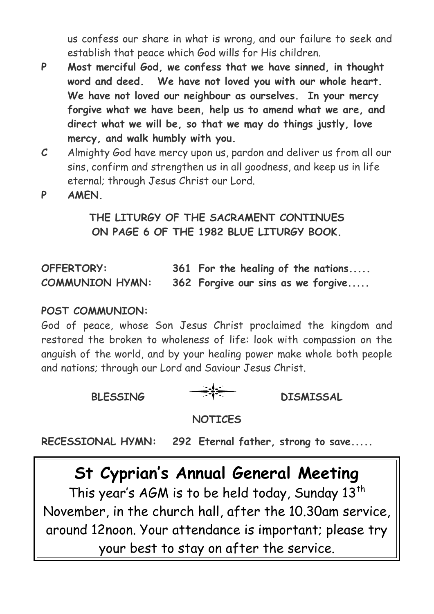us confess our share in what is wrong, and our failure to seek and establish that peace which God wills for His children.

- **P Most merciful God, we confess that we have sinned, in thought word and deed. We have not loved you with our whole heart. We have not loved our neighbour as ourselves. In your mercy forgive what we have been, help us to amend what we are, and direct what we will be, so that we may do things justly, love mercy, and walk humbly with you.**
- **C** Almighty God have mercy upon us, pardon and deliver us from all our sins, confirm and strengthen us in all goodness, and keep us in life eternal; through Jesus Christ our Lord.
- **P AMEN.**

# **THE LITURGY OF THE SACRAMENT CONTINUES ON PAGE 6 OF THE 1982 BLUE LITURGY BOOK.**

| OFFERTORY:             | 361 For the healing of the nations |
|------------------------|------------------------------------|
| <b>COMMUNION HYMN:</b> | 362 Forgive our sins as we forgive |

#### **POST COMMUNION:**

God of peace, whose Son Jesus Christ proclaimed the kingdom and restored the broken to wholeness of life: look with compassion on the anguish of the world, and by your healing power make whole both people and nations; through our Lord and Saviour Jesus Christ.

BLESSING TTE DISMISSAL

#### **NOTICES**

**RECESSIONAL HYMN: 292 Eternal father, strong to save.....**

# **St Cyprian's Annual General Meeting**

This year's AGM is to be held today, Sunday  $13^{th}$ November, in the church hall, after the 10.30am service, around 12noon. Your attendance is important; please try your best to stay on after the service.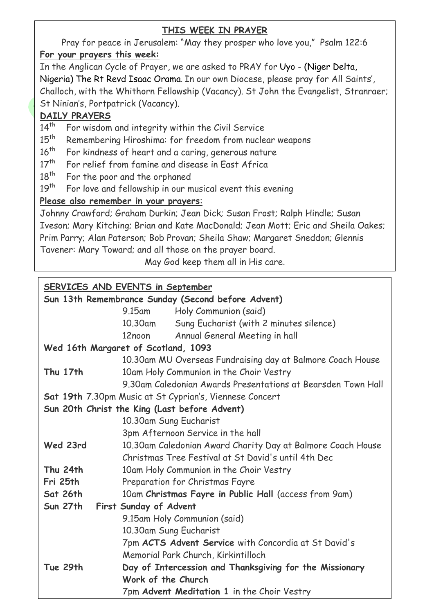#### **THIS WEEK IN PRAYER**

Pray for peace in Jerusalem: "May they prosper who love you," Psalm 122:6 **For your prayers this week:**

In the Anglican Cycle of Prayer, we are asked to PRAY for Uyo - (Niger Delta, Nigeria) The Rt Revd Isaac Orama. In our own Diocese, please pray for All Saints', Challoch, with the Whithorn Fellowship (Vacancy). St John the Evangelist, Stranraer; St Ninian's, Portpatrick (Vacancy).

#### **DAILY PRAYERS**

- 14<sup>th</sup> For wisdom and integrity within the Civil Service
- 15<sup>th</sup> Remembering Hiroshima: for freedom from nuclear weapons
- 16<sup>th</sup> For kindness of heart and a caring, generous nature
- $17<sup>th</sup>$  For relief from famine and disease in Fast Africa
- 18<sup>th</sup> For the poor and the orphaned
- $19<sup>th</sup>$  For love and fellowship in our musical event this evening

#### **Please also remember in your prayers**:

Johnny Crawford; Graham Durkin; Jean Dick; Susan Frost; Ralph Hindle; Susan Iveson; Mary Kitching; Brian and Kate MacDonald; Jean Mott; Eric and Sheila Oakes; Prim Parry; Alan Paterson; Bob Provan; Sheila Shaw; Margaret Sneddon; Glennis Tavener: Mary Toward; and all those on the prayer board.

May God keep them all in His care.

#### **SERVICES AND EVENTS in September**

| Sun 13th Remembrance Sunday (Second before Advent)      |                                                              |                                                       |  |  |  |
|---------------------------------------------------------|--------------------------------------------------------------|-------------------------------------------------------|--|--|--|
|                                                         | 9.15am                                                       | Holy Communion (said)                                 |  |  |  |
|                                                         | 10.30am                                                      | Sung Eucharist (with 2 minutes silence)               |  |  |  |
|                                                         | 12noon                                                       | Annual General Meeting in hall                        |  |  |  |
| Wed 16th Margaret of Scotland, 1093                     |                                                              |                                                       |  |  |  |
|                                                         | 10.30am MU Overseas Fundraising day at Balmore Coach House   |                                                       |  |  |  |
| Thu 17th                                                | 10am Holy Communion in the Choir Vestry                      |                                                       |  |  |  |
|                                                         | 9.30am Caledonian Awards Presentations at Bearsden Town Hall |                                                       |  |  |  |
| Sat 19th 7.30pm Music at St Cyprian's, Viennese Concert |                                                              |                                                       |  |  |  |
| Sun 20th Christ the King (Last before Advent)           |                                                              |                                                       |  |  |  |
|                                                         | 10.30am Sung Eucharist                                       |                                                       |  |  |  |
|                                                         |                                                              | 3pm Afternoon Service in the hall                     |  |  |  |
| Wed 23rd                                                | 10.30am Caledonian Award Charity Day at Balmore Coach House  |                                                       |  |  |  |
|                                                         |                                                              | Christmas Tree Festival at St David's until 4th Dec   |  |  |  |
| Thu 24th                                                |                                                              | 10am Holy Communion in the Choir Vestry               |  |  |  |
| Fri 25th                                                | Preparation for Christmas Fayre                              |                                                       |  |  |  |
| Sat 26th                                                |                                                              | 10am Christmas Fayre in Public Hall (access from 9am) |  |  |  |
| <b>Sun 27th</b>                                         | First Sunday of Advent                                       |                                                       |  |  |  |
|                                                         |                                                              | 9.15am Holy Communion (said)                          |  |  |  |
|                                                         | 10.30am Sung Eucharist                                       |                                                       |  |  |  |
|                                                         | 7pm ACTS Advent Service with Concordia at St David's         |                                                       |  |  |  |
|                                                         |                                                              | Memorial Park Church, Kirkintilloch                   |  |  |  |
| Tue 29th                                                | Day of Intercession and Thanksgiving for the Missionary      |                                                       |  |  |  |
|                                                         | Work of the Church                                           |                                                       |  |  |  |
|                                                         |                                                              | 7pm Advent Meditation 1 in the Choir Vestry           |  |  |  |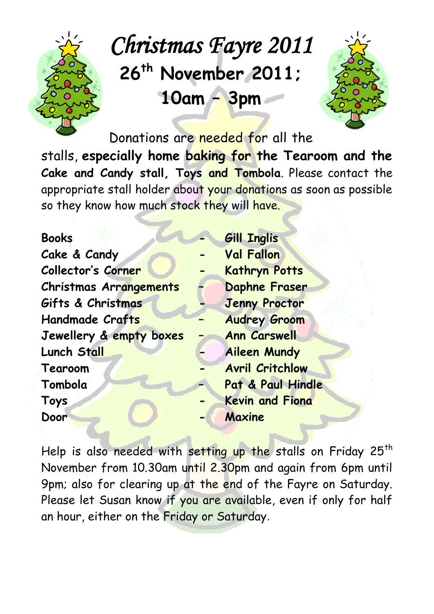

# *Christmas Fayre 2011*  **26th November 2011; 10am – 3pm**



Donations are needed for all the

stalls, **especially home baking for the Tearoom and the Cake and Candy stall, Toys and Tombola**. Please contact the appropriate stall holder about your donations as soon as possible so they know how much stock they will have.

| <b>Books</b>            | <b>Gill Inglis</b>     |
|-------------------------|------------------------|
| Cake & Candy            | <b>Val Fallon</b>      |
| Collector's Corner      | <b>Kathryn Potts</b>   |
| Christmas Arrangements  | Daphne Fraser          |
| Gifts & Christmas       | <b>Jenny Proctor</b>   |
| <b>Handmade Crafts</b>  | <b>Audrey Groom</b>    |
| Jewellery & empty boxes | <b>Ann Carswell</b>    |
| Lunch Stall             | <b>Aileen Mundy</b>    |
| Tearoom                 | <b>Avril Critchlow</b> |
| Tombola                 | Pat & Paul Hindle      |
| <b>Toys</b>             | <b>Kevin and Fiona</b> |
| Door                    | Maxine                 |

Help is also needed with setting up the stalls on Friday 25<sup>th</sup> November from 10.30am until 2.30pm and again from 6pm until 9pm; also for clearing up at the end of the Fayre on Saturday. Please let Susan know if you are available, even if only for half an hour, either on the Friday or Saturday.